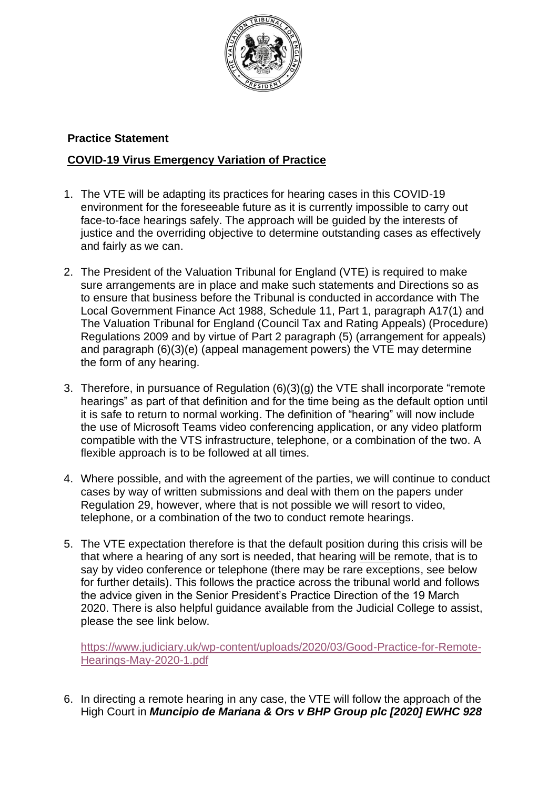

## **Practice Statement**

## **COVID-19 Virus Emergency Variation of Practice**

- 1. The VTE will be adapting its practices for hearing cases in this COVID-19 environment for the foreseeable future as it is currently impossible to carry out face-to-face hearings safely. The approach will be guided by the interests of justice and the overriding objective to determine outstanding cases as effectively and fairly as we can.
- 2. The President of the Valuation Tribunal for England (VTE) is required to make sure arrangements are in place and make such statements and Directions so as to ensure that business before the Tribunal is conducted in accordance with The Local Government Finance Act 1988, Schedule 11, Part 1, paragraph A17(1) and The Valuation Tribunal for England (Council Tax and Rating Appeals) (Procedure) Regulations 2009 and by virtue of Part 2 paragraph (5) (arrangement for appeals) and paragraph (6)(3)(e) (appeal management powers) the VTE may determine the form of any hearing.
- 3. Therefore, in pursuance of Regulation (6)(3)(g) the VTE shall incorporate "remote hearings" as part of that definition and for the time being as the default option until it is safe to return to normal working. The definition of "hearing" will now include the use of Microsoft Teams video conferencing application, or any video platform compatible with the VTS infrastructure, telephone, or a combination of the two. A flexible approach is to be followed at all times.
- 4. Where possible, and with the agreement of the parties, we will continue to conduct cases by way of written submissions and deal with them on the papers under Regulation 29, however, where that is not possible we will resort to video, telephone, or a combination of the two to conduct remote hearings.
- 5. The VTE expectation therefore is that the default position during this crisis will be that where a hearing of any sort is needed, that hearing will be remote, that is to say by video conference or telephone (there may be rare exceptions, see below for further details). This follows the practice across the tribunal world and follows the advice given in the Senior President's Practice Direction of the 19 March 2020. There is also helpful guidance available from the Judicial College to assist, please the see link below.

[https://www.judiciary.uk/wp-content/uploads/2020/03/Good-Practice-for-Remote-](https://www.judiciary.uk/wp-content/uploads/2020/03/Good-Practice-for-Remote-Hearings-May-2020-1.pdf)[Hearings-May-2020-1.pdf](https://www.judiciary.uk/wp-content/uploads/2020/03/Good-Practice-for-Remote-Hearings-May-2020-1.pdf)

6. In directing a remote hearing in any case, the VTE will follow the approach of the High Court in *Muncipio de Mariana & Ors v BHP Group plc [2020] EWHC 928*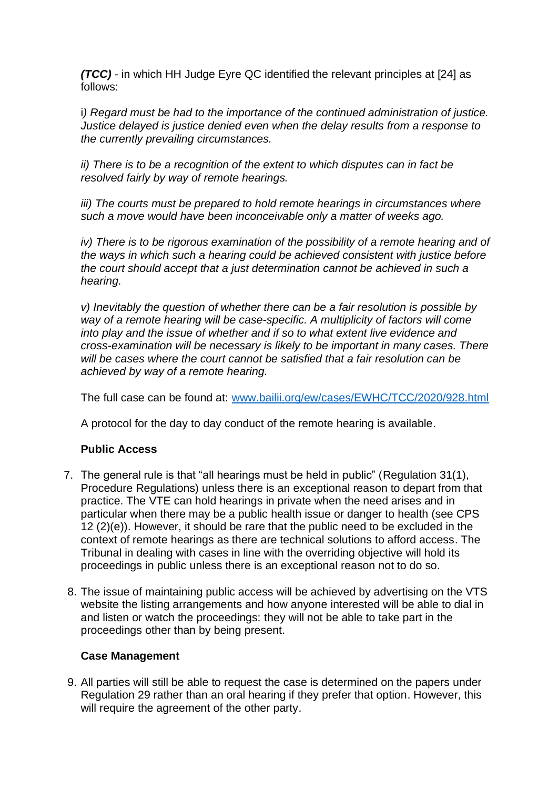*(TCC)* - in which HH Judge Eyre QC identified the relevant principles at [24] as follows:

i*) Regard must be had to the importance of the continued administration of justice. Justice delayed is justice denied even when the delay results from a response to the currently prevailing circumstances.* 

*ii) There is to be a recognition of the extent to which disputes can in fact be resolved fairly by way of remote hearings.* 

*iii)* The courts must be prepared to hold remote hearings in circumstances where *such a move would have been inconceivable only a matter of weeks ago.* 

*iv*) There is to be rigorous examination of the possibility of a remote hearing and of *the ways in which such a hearing could be achieved consistent with justice before the court should accept that a just determination cannot be achieved in such a hearing.* 

*v) Inevitably the question of whether there can be a fair resolution is possible by way of a remote hearing will be case-specific. A multiplicity of factors will come into play and the issue of whether and if so to what extent live evidence and cross-examination will be necessary is likely to be important in many cases. There will be cases where the court cannot be satisfied that a fair resolution can be achieved by way of a remote hearing.* 

The full case can be found at: [www.bailii.org/ew/cases/EWHC/TCC/2020/928.html](http://www.bailii.org/ew/cases/EWHC/TCC/2020/928.html)

A protocol for the day to day conduct of the remote hearing is available.

## **Public Access**

- 7. The general rule is that "all hearings must be held in public" (Regulation 31(1), Procedure Regulations) unless there is an exceptional reason to depart from that practice. The VTE can hold hearings in private when the need arises and in particular when there may be a public health issue or danger to health (see CPS 12 (2)(e)). However, it should be rare that the public need to be excluded in the context of remote hearings as there are technical solutions to afford access. The Tribunal in dealing with cases in line with the overriding objective will hold its proceedings in public unless there is an exceptional reason not to do so.
- 8. The issue of maintaining public access will be achieved by advertising on the VTS website the listing arrangements and how anyone interested will be able to dial in and listen or watch the proceedings: they will not be able to take part in the proceedings other than by being present.

## **Case Management**

9. All parties will still be able to request the case is determined on the papers under Regulation 29 rather than an oral hearing if they prefer that option. However, this will require the agreement of the other party.